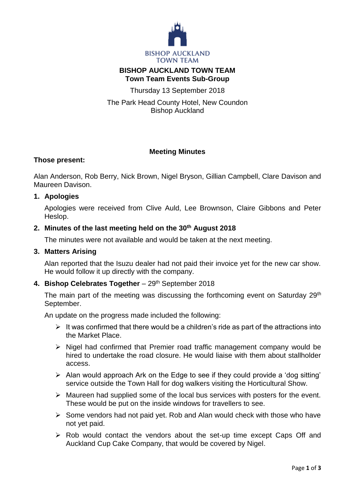

# **BISHOP AUCKLAND TOWN TEAM Town Team Events Sub-Group**

Thursday 13 September 2018

The Park Head County Hotel, New Coundon Bishop Auckland

# **Meeting Minutes**

# **Those present:**

Alan Anderson, Rob Berry, Nick Brown, Nigel Bryson, Gillian Campbell, Clare Davison and Maureen Davison.

## **1. Apologies**

Apologies were received from Clive Auld, Lee Brownson, Claire Gibbons and Peter Heslop.

## **2. Minutes of the last meeting held on the 30th August 2018**

The minutes were not available and would be taken at the next meeting.

#### **3. Matters Arising**

Alan reported that the Isuzu dealer had not paid their invoice yet for the new car show. He would follow it up directly with the company.

## 4. **Bishop Celebrates Together** - 29<sup>th</sup> September 2018

The main part of the meeting was discussing the forthcoming event on Saturday 29<sup>th</sup> September.

An update on the progress made included the following:

- $\triangleright$  It was confirmed that there would be a children's ride as part of the attractions into the Market Place.
- $\triangleright$  Nigel had confirmed that Premier road traffic management company would be hired to undertake the road closure. He would liaise with them about stallholder access.
- $\triangleright$  Alan would approach Ark on the Edge to see if they could provide a 'dog sitting' service outside the Town Hall for dog walkers visiting the Horticultural Show.
- $\triangleright$  Maureen had supplied some of the local bus services with posters for the event. These would be put on the inside windows for travellers to see.
- $\triangleright$  Some vendors had not paid vet. Rob and Alan would check with those who have not yet paid.
- $\triangleright$  Rob would contact the vendors about the set-up time except Caps Off and Auckland Cup Cake Company, that would be covered by Nigel.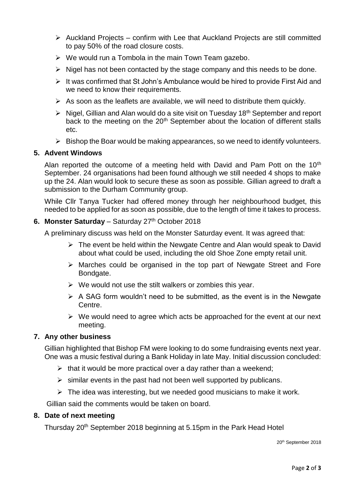- $\triangleright$  Auckland Projects confirm with Lee that Auckland Projects are still committed to pay 50% of the road closure costs.
- $\triangleright$  We would run a Tombola in the main Town Team gazebo.
- $\triangleright$  Nigel has not been contacted by the stage company and this needs to be done.
- $\triangleright$  It was confirmed that St John's Ambulance would be hired to provide First Aid and we need to know their requirements.
- $\triangleright$  As soon as the leaflets are available, we will need to distribute them quickly.
- $\triangleright$  Nigel, Gillian and Alan would do a site visit on Tuesday 18<sup>th</sup> September and report back to the meeting on the 20<sup>th</sup> September about the location of different stalls etc.
- $\triangleright$  Bishop the Boar would be making appearances, so we need to identify volunteers.

## **5. Advent Windows**

Alan reported the outcome of a meeting held with David and Pam Pott on the 10<sup>th</sup> September. 24 organisations had been found although we still needed 4 shops to make up the 24. Alan would look to secure these as soon as possible. Gillian agreed to draft a submission to the Durham Community group.

While Cllr Tanya Tucker had offered money through her neighbourhood budget, this needed to be applied for as soon as possible, due to the length of time it takes to process.

## **6. Monster Saturday** - Saturday 27<sup>th</sup> October 2018

A preliminary discuss was held on the Monster Saturday event. It was agreed that:

- $\triangleright$  The event be held within the Newgate Centre and Alan would speak to David about what could be used, including the old Shoe Zone empty retail unit.
- $\triangleright$  Marches could be organised in the top part of Newgate Street and Fore Bondgate.
- $\triangleright$  We would not use the stilt walkers or zombies this year.
- $\triangleright$  A SAG form wouldn't need to be submitted, as the event is in the Newgate Centre.
- $\triangleright$  We would need to agree which acts be approached for the event at our next meeting.

## **7. Any other business**

Gillian highlighted that Bishop FM were looking to do some fundraising events next year. One was a music festival during a Bank Holiday in late May. Initial discussion concluded:

- $\triangleright$  that it would be more practical over a day rather than a weekend:
- $\triangleright$  similar events in the past had not been well supported by publicans.
- $\triangleright$  The idea was interesting, but we needed good musicians to make it work.

Gillian said the comments would be taken on board.

#### **8. Date of next meeting**

Thursday 20th September 2018 beginning at 5.15pm in the Park Head Hotel

20th September 2018